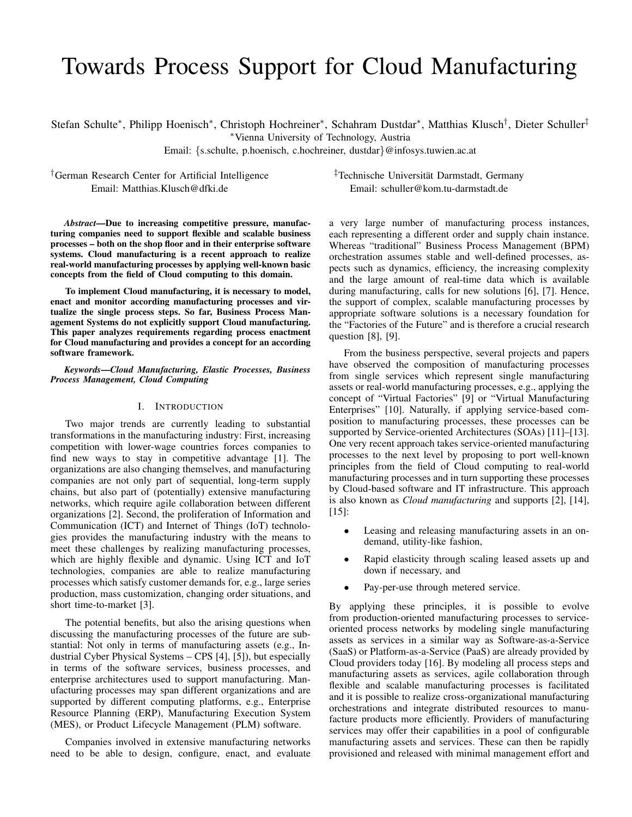S. Schulte, P. Hoenisch, C. Hochreiner, S. Dustdar, M. Klusch, D. Schuller: **Towards Process Support for Cloud Manufacturing**. In: IEEE Computer Society: 18th IEEE International Enterprise Distributed Object Computing Conference (EDOC 2014), p. 142-149, January 2014.

# Towards Process Support for Cloud Manufacturing

Stefan Schulte\*, Philipp Hoenisch\*, Christoph Hochreiner\*, Schahram Dustdar\*, Matthias Klusch<sup>†</sup>, Dieter Schuller<sup>‡</sup> <sup>∗</sup>Vienna University of Technology, Austria

Email: {s.schulte, p.hoenisch, c.hochreiner, dustdar}@infosys.tuwien.ac.at

†German Research Center for Artificial Intelligence Email: Matthias.Klusch@dfki.de

‡Technische Universitat Darmstadt, Germany ¨ Email: schuller@kom.tu-darmstadt.de

*Abstract*—Due to increasing competitive pressure, manufacturing companies need to support flexible and scalable business processes – both on the shop floor and in their enterprise software systems. Cloud manufacturing is a recent approach to realize real-world manufacturing processes by applying well-known basic concepts from the field of Cloud computing to this domain.

To implement Cloud manufacturing, it is necessary to model, enact and monitor according manufacturing processes and virtualize the single process steps. So far, Business Process Management Systems do not explicitly support Cloud manufacturing. This paper analyzes requirements regarding process enactment for Cloud manufacturing and provides a concept for an according software framework.

*Keywords*—*Cloud Manufacturing, Elastic Processes, Business Process Management, Cloud Computing*

## I. INTRODUCTION

<span id="page-0-0"></span>Two major trends are currently leading to substantial transformations in the manufacturing industry: First, increasing competition with lower-wage countries forces companies to find new ways to stay in competitive advantage [\[1\]](#page-6-0). The organizations are also changing themselves, and manufacturing companies are not only part of sequential, long-term supply chains, but also part of (potentially) extensive manufacturing networks, which require agile collaboration between different organizations [\[2\]](#page-6-1). Second, the proliferation of Information and Communication (ICT) and Internet of Things (IoT) technologies provides the manufacturing industry with the means to meet these challenges by realizing manufacturing processes, which are highly flexible and dynamic. Using ICT and IoT technologies, companies are able to realize manufacturing processes which satisfy customer demands for, e.g., large series production, mass customization, changing order situations, and short time-to-market [\[3\]](#page-6-2).

The potential benefits, but also the arising questions when discussing the manufacturing processes of the future are substantial: Not only in terms of manufacturing assets (e.g., Industrial Cyber Physical Systems – CPS [\[4\]](#page-6-3), [\[5\]](#page-6-4)), but especially in terms of the software services, business processes, and enterprise architectures used to support manufacturing. Manufacturing processes may span different organizations and are supported by different computing platforms, e.g., Enterprise Resource Planning (ERP), Manufacturing Execution System (MES), or Product Lifecycle Management (PLM) software.

Companies involved in extensive manufacturing networks need to be able to design, configure, enact, and evaluate a very large number of manufacturing process instances, each representing a different order and supply chain instance. Whereas "traditional" Business Process Management (BPM) orchestration assumes stable and well-defined processes, aspects such as dynamics, efficiency, the increasing complexity and the large amount of real-time data which is available during manufacturing, calls for new solutions [\[6\]](#page-6-5), [\[7\]](#page-6-6). Hence, the support of complex, scalable manufacturing processes by appropriate software solutions is a necessary foundation for the "Factories of the Future" and is therefore a crucial research question [\[8\]](#page-6-7), [\[9\]](#page-6-8).

From the business perspective, several projects and papers have observed the composition of manufacturing processes from single services which represent single manufacturing assets or real-world manufacturing processes, e.g., applying the concept of "Virtual Factories" [\[9\]](#page-6-8) or "Virtual Manufacturing Enterprises" [\[10\]](#page-6-9). Naturally, if applying service-based composition to manufacturing processes, these processes can be supported by Service-oriented Architectures (SOAs) [\[11\]](#page-6-10)–[\[13\]](#page-6-11). One very recent approach takes service-oriented manufacturing processes to the next level by proposing to port well-known principles from the field of Cloud computing to real-world manufacturing processes and in turn supporting these processes by Cloud-based software and IT infrastructure. This approach is also known as *Cloud manufacturing* and supports [\[2\]](#page-6-1), [\[14\]](#page-6-12), [\[15\]](#page-6-13):

- Leasing and releasing manufacturing assets in an ondemand, utility-like fashion,
- Rapid elasticity through scaling leased assets up and down if necessary, and
- Pay-per-use through metered service.

By applying these principles, it is possible to evolve from production-oriented manufacturing processes to serviceoriented process networks by modeling single manufacturing assets as services in a similar way as Software-as-a-Service (SaaS) or Platform-as-a-Service (PaaS) are already provided by Cloud providers today [\[16\]](#page-6-14). By modeling all process steps and manufacturing assets as services, agile collaboration through flexible and scalable manufacturing processes is facilitated and it is possible to realize cross-organizational manufacturing orchestrations and integrate distributed resources to manufacture products more efficiently. Providers of manufacturing services may offer their capabilities in a pool of configurable manufacturing assets and services. These can then be rapidly provisioned and released with minimal management effort and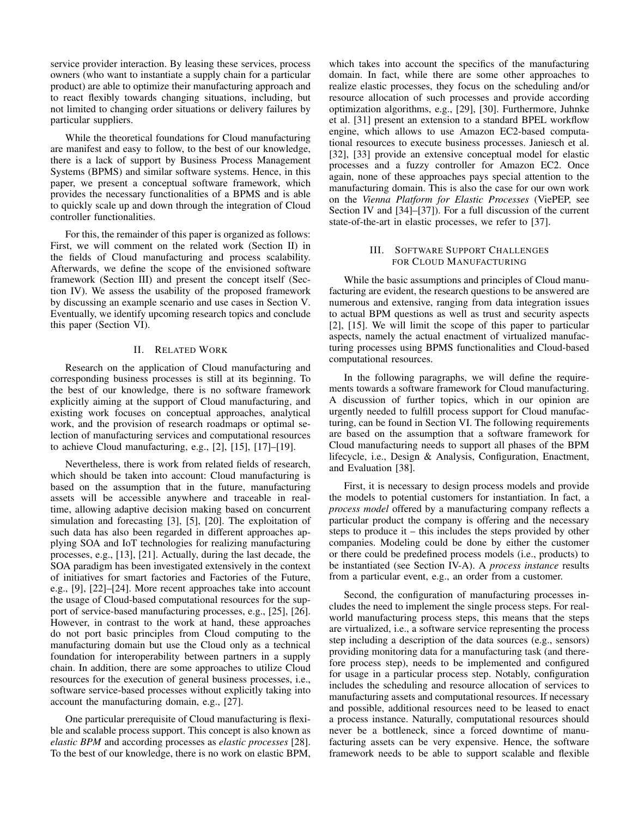service provider interaction. By leasing these services, process owners (who want to instantiate a supply chain for a particular product) are able to optimize their manufacturing approach and to react flexibly towards changing situations, including, but not limited to changing order situations or delivery failures by particular suppliers.

While the theoretical foundations for Cloud manufacturing are manifest and easy to follow, to the best of our knowledge, there is a lack of support by Business Process Management Systems (BPMS) and similar software systems. Hence, in this paper, we present a conceptual software framework, which provides the necessary functionalities of a BPMS and is able to quickly scale up and down through the integration of Cloud controller functionalities.

For this, the remainder of this paper is organized as follows: First, we will comment on the related work (Section [II\)](#page-1-0) in the fields of Cloud manufacturing and process scalability. Afterwards, we define the scope of the envisioned software framework (Section [III\)](#page-1-1) and present the concept itself (Section [IV\)](#page-2-0). We assess the usability of the proposed framework by discussing an example scenario and use cases in Section [V.](#page-4-0) Eventually, we identify upcoming research topics and conclude this paper (Section [VI\)](#page-5-0).

## II. RELATED WORK

<span id="page-1-0"></span>Research on the application of Cloud manufacturing and corresponding business processes is still at its beginning. To the best of our knowledge, there is no software framework explicitly aiming at the support of Cloud manufacturing, and existing work focuses on conceptual approaches, analytical work, and the provision of research roadmaps or optimal selection of manufacturing services and computational resources to achieve Cloud manufacturing, e.g., [\[2\]](#page-6-1), [\[15\]](#page-6-13), [\[17\]](#page-7-0)–[\[19\]](#page-7-1).

Nevertheless, there is work from related fields of research, which should be taken into account: Cloud manufacturing is based on the assumption that in the future, manufacturing assets will be accessible anywhere and traceable in realtime, allowing adaptive decision making based on concurrent simulation and forecasting [\[3\]](#page-6-2), [\[5\]](#page-6-4), [\[20\]](#page-7-2). The exploitation of such data has also been regarded in different approaches applying SOA and IoT technologies for realizing manufacturing processes, e.g., [\[13\]](#page-6-11), [\[21\]](#page-7-3). Actually, during the last decade, the SOA paradigm has been investigated extensively in the context of initiatives for smart factories and Factories of the Future, e.g., [\[9\]](#page-6-8), [\[22\]](#page-7-4)–[\[24\]](#page-7-5). More recent approaches take into account the usage of Cloud-based computational resources for the support of service-based manufacturing processes, e.g., [\[25\]](#page-7-6), [\[26\]](#page-7-7). However, in contrast to the work at hand, these approaches do not port basic principles from Cloud computing to the manufacturing domain but use the Cloud only as a technical foundation for interoperability between partners in a supply chain. In addition, there are some approaches to utilize Cloud resources for the execution of general business processes, i.e., software service-based processes without explicitly taking into account the manufacturing domain, e.g., [\[27\]](#page-7-8).

One particular prerequisite of Cloud manufacturing is flexible and scalable process support. This concept is also known as *elastic BPM* and according processes as *elastic processes* [\[28\]](#page-7-9). To the best of our knowledge, there is no work on elastic BPM, which takes into account the specifics of the manufacturing domain. In fact, while there are some other approaches to realize elastic processes, they focus on the scheduling and/or resource allocation of such processes and provide according optimization algorithms, e.g., [\[29\]](#page-7-10), [\[30\]](#page-7-11). Furthermore, Juhnke et al. [\[31\]](#page-7-12) present an extension to a standard BPEL workflow engine, which allows to use Amazon EC2-based computational resources to execute business processes. Janiesch et al. [\[32\]](#page-7-13), [\[33\]](#page-7-14) provide an extensive conceptual model for elastic processes and a fuzzy controller for Amazon EC2. Once again, none of these approaches pays special attention to the manufacturing domain. This is also the case for our own work on the *Vienna Platform for Elastic Processes* (ViePEP, see Section [IV](#page-2-0) and [\[34\]](#page-7-15)–[\[37\]](#page-7-16)). For a full discussion of the current state-of-the-art in elastic processes, we refer to [\[37\]](#page-7-16).

#### III. SOFTWARE SUPPORT CHALLENGES FOR CLOUD MANUFACTURING

<span id="page-1-1"></span>While the basic assumptions and principles of Cloud manufacturing are evident, the research questions to be answered are numerous and extensive, ranging from data integration issues to actual BPM questions as well as trust and security aspects [\[2\]](#page-6-1), [\[15\]](#page-6-13). We will limit the scope of this paper to particular aspects, namely the actual enactment of virtualized manufacturing processes using BPMS functionalities and Cloud-based computational resources.

In the following paragraphs, we will define the requirements towards a software framework for Cloud manufacturing. A discussion of further topics, which in our opinion are urgently needed to fulfill process support for Cloud manufacturing, can be found in Section [VI.](#page-5-0) The following requirements are based on the assumption that a software framework for Cloud manufacturing needs to support all phases of the BPM lifecycle, i.e., Design & Analysis, Configuration, Enactment, and Evaluation [\[38\]](#page-7-17).

First, it is necessary to design process models and provide the models to potential customers for instantiation. In fact, a *process model* offered by a manufacturing company reflects a particular product the company is offering and the necessary steps to produce it – this includes the steps provided by other companies. Modeling could be done by either the customer or there could be predefined process models (i.e., products) to be instantiated (see Section [IV-A\)](#page-2-1). A *process instance* results from a particular event, e.g., an order from a customer.

Second, the configuration of manufacturing processes includes the need to implement the single process steps. For realworld manufacturing process steps, this means that the steps are virtualized, i.e., a software service representing the process step including a description of the data sources (e.g., sensors) providing monitoring data for a manufacturing task (and therefore process step), needs to be implemented and configured for usage in a particular process step. Notably, configuration includes the scheduling and resource allocation of services to manufacturing assets and computational resources. If necessary and possible, additional resources need to be leased to enact a process instance. Naturally, computational resources should never be a bottleneck, since a forced downtime of manufacturing assets can be very expensive. Hence, the software framework needs to be able to support scalable and flexible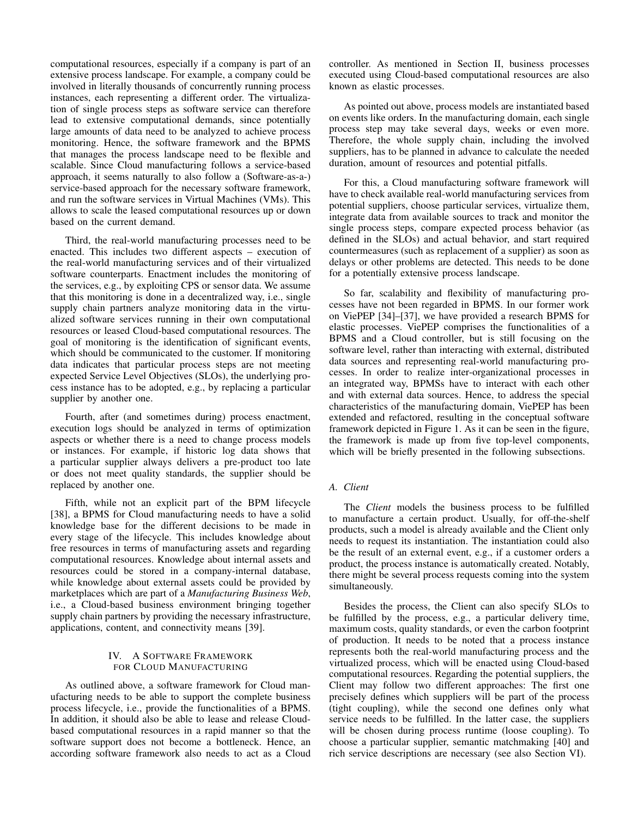computational resources, especially if a company is part of an extensive process landscape. For example, a company could be involved in literally thousands of concurrently running process instances, each representing a different order. The virtualization of single process steps as software service can therefore lead to extensive computational demands, since potentially large amounts of data need to be analyzed to achieve process monitoring. Hence, the software framework and the BPMS that manages the process landscape need to be flexible and scalable. Since Cloud manufacturing follows a service-based approach, it seems naturally to also follow a (Software-as-a-) service-based approach for the necessary software framework, and run the software services in Virtual Machines (VMs). This allows to scale the leased computational resources up or down based on the current demand.

Third, the real-world manufacturing processes need to be enacted. This includes two different aspects – execution of the real-world manufacturing services and of their virtualized software counterparts. Enactment includes the monitoring of the services, e.g., by exploiting CPS or sensor data. We assume that this monitoring is done in a decentralized way, i.e., single supply chain partners analyze monitoring data in the virtualized software services running in their own computational resources or leased Cloud-based computational resources. The goal of monitoring is the identification of significant events, which should be communicated to the customer. If monitoring data indicates that particular process steps are not meeting expected Service Level Objectives (SLOs), the underlying process instance has to be adopted, e.g., by replacing a particular supplier by another one.

Fourth, after (and sometimes during) process enactment, execution logs should be analyzed in terms of optimization aspects or whether there is a need to change process models or instances. For example, if historic log data shows that a particular supplier always delivers a pre-product too late or does not meet quality standards, the supplier should be replaced by another one.

Fifth, while not an explicit part of the BPM lifecycle [\[38\]](#page-7-17), a BPMS for Cloud manufacturing needs to have a solid knowledge base for the different decisions to be made in every stage of the lifecycle. This includes knowledge about free resources in terms of manufacturing assets and regarding computational resources. Knowledge about internal assets and resources could be stored in a company-internal database, while knowledge about external assets could be provided by marketplaces which are part of a *Manufacturing Business Web*, i.e., a Cloud-based business environment bringing together supply chain partners by providing the necessary infrastructure, applications, content, and connectivity means [\[39\]](#page-7-18).

# IV. A SOFTWARE FRAMEWORK FOR CLOUD MANUFACTURING

<span id="page-2-0"></span>As outlined above, a software framework for Cloud manufacturing needs to be able to support the complete business process lifecycle, i.e., provide the functionalities of a BPMS. In addition, it should also be able to lease and release Cloudbased computational resources in a rapid manner so that the software support does not become a bottleneck. Hence, an according software framework also needs to act as a Cloud controller. As mentioned in Section [II,](#page-1-0) business processes executed using Cloud-based computational resources are also known as elastic processes.

As pointed out above, process models are instantiated based on events like orders. In the manufacturing domain, each single process step may take several days, weeks or even more. Therefore, the whole supply chain, including the involved suppliers, has to be planned in advance to calculate the needed duration, amount of resources and potential pitfalls.

For this, a Cloud manufacturing software framework will have to check available real-world manufacturing services from potential suppliers, choose particular services, virtualize them, integrate data from available sources to track and monitor the single process steps, compare expected process behavior (as defined in the SLOs) and actual behavior, and start required countermeasures (such as replacement of a supplier) as soon as delays or other problems are detected. This needs to be done for a potentially extensive process landscape.

So far, scalability and flexibility of manufacturing processes have not been regarded in BPMS. In our former work on ViePEP [\[34\]](#page-7-15)–[\[37\]](#page-7-16), we have provided a research BPMS for elastic processes. ViePEP comprises the functionalities of a BPMS and a Cloud controller, but is still focusing on the software level, rather than interacting with external, distributed data sources and representing real-world manufacturing processes. In order to realize inter-organizational processes in an integrated way, BPMSs have to interact with each other and with external data sources. Hence, to address the special characteristics of the manufacturing domain, ViePEP has been extended and refactored, resulting in the conceptual software framework depicted in Figure [1.](#page-3-0) As it can be seen in the figure, the framework is made up from five top-level components, which will be briefly presented in the following subsections.

# <span id="page-2-1"></span>*A. Client*

The *Client* models the business process to be fulfilled to manufacture a certain product. Usually, for off-the-shelf products, such a model is already available and the Client only needs to request its instantiation. The instantiation could also be the result of an external event, e.g., if a customer orders a product, the process instance is automatically created. Notably, there might be several process requests coming into the system simultaneously.

Besides the process, the Client can also specify SLOs to be fulfilled by the process, e.g., a particular delivery time, maximum costs, quality standards, or even the carbon footprint of production. It needs to be noted that a process instance represents both the real-world manufacturing process and the virtualized process, which will be enacted using Cloud-based computational resources. Regarding the potential suppliers, the Client may follow two different approaches: The first one precisely defines which suppliers will be part of the process (tight coupling), while the second one defines only what service needs to be fulfilled. In the latter case, the suppliers will be chosen during process runtime (loose coupling). To choose a particular supplier, semantic matchmaking [\[40\]](#page-7-19) and rich service descriptions are necessary (see also Section [VI\)](#page-5-0).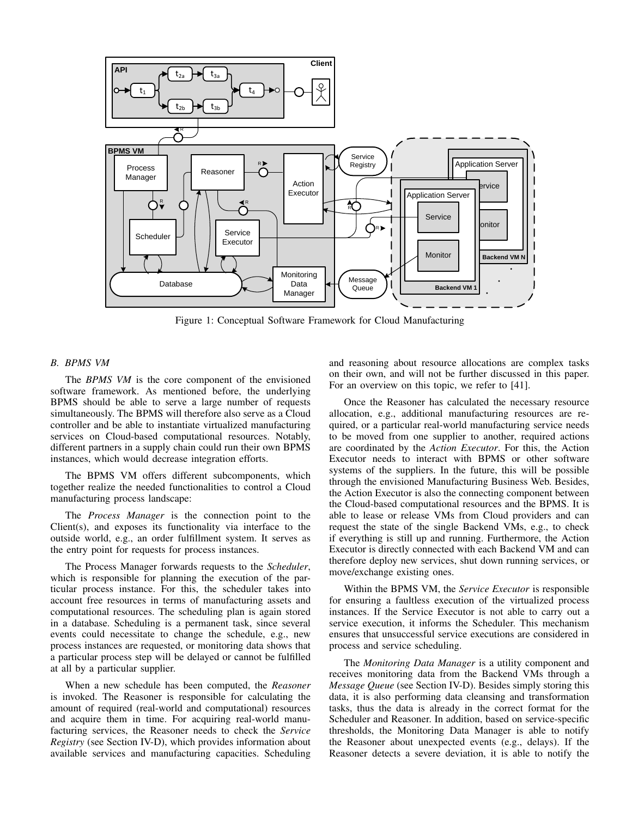<span id="page-3-0"></span>

Figure 1: Conceptual Software Framework for Cloud Manufacturing

## *B. BPMS VM*

The *BPMS VM* is the core component of the envisioned software framework. As mentioned before, the underlying BPMS should be able to serve a large number of requests simultaneously. The BPMS will therefore also serve as a Cloud controller and be able to instantiate virtualized manufacturing services on Cloud-based computational resources. Notably, different partners in a supply chain could run their own BPMS instances, which would decrease integration efforts.

The BPMS VM offers different subcomponents, which together realize the needed functionalities to control a Cloud manufacturing process landscape:

The *Process Manager* is the connection point to the Client(s), and exposes its functionality via interface to the outside world, e.g., an order fulfillment system. It serves as the entry point for requests for process instances.

The Process Manager forwards requests to the *Scheduler*, which is responsible for planning the execution of the particular process instance. For this, the scheduler takes into account free resources in terms of manufacturing assets and computational resources. The scheduling plan is again stored in a database. Scheduling is a permanent task, since several events could necessitate to change the schedule, e.g., new process instances are requested, or monitoring data shows that a particular process step will be delayed or cannot be fulfilled at all by a particular supplier.

When a new schedule has been computed, the *Reasoner* is invoked. The Reasoner is responsible for calculating the amount of required (real-world and computational) resources and acquire them in time. For acquiring real-world manufacturing services, the Reasoner needs to check the *Service Registry* (see Section [IV-D\)](#page-4-1), which provides information about available services and manufacturing capacities. Scheduling and reasoning about resource allocations are complex tasks on their own, and will not be further discussed in this paper. For an overview on this topic, we refer to [\[41\]](#page-7-20).

Once the Reasoner has calculated the necessary resource allocation, e.g., additional manufacturing resources are required, or a particular real-world manufacturing service needs to be moved from one supplier to another, required actions are coordinated by the *Action Executor*. For this, the Action Executor needs to interact with BPMS or other software systems of the suppliers. In the future, this will be possible through the envisioned Manufacturing Business Web. Besides, the Action Executor is also the connecting component between the Cloud-based computational resources and the BPMS. It is able to lease or release VMs from Cloud providers and can request the state of the single Backend VMs, e.g., to check if everything is still up and running. Furthermore, the Action Executor is directly connected with each Backend VM and can therefore deploy new services, shut down running services, or move/exchange existing ones.

Within the BPMS VM, the *Service Executor* is responsible for ensuring a faultless execution of the virtualized process instances. If the Service Executor is not able to carry out a service execution, it informs the Scheduler. This mechanism ensures that unsuccessful service executions are considered in process and service scheduling.

The *Monitoring Data Manager* is a utility component and receives monitoring data from the Backend VMs through a *Message Queue* (see Section [IV-D\)](#page-4-1). Besides simply storing this data, it is also performing data cleansing and transformation tasks, thus the data is already in the correct format for the Scheduler and Reasoner. In addition, based on service-specific thresholds, the Monitoring Data Manager is able to notify the Reasoner about unexpected events (e.g., delays). If the Reasoner detects a severe deviation, it is able to notify the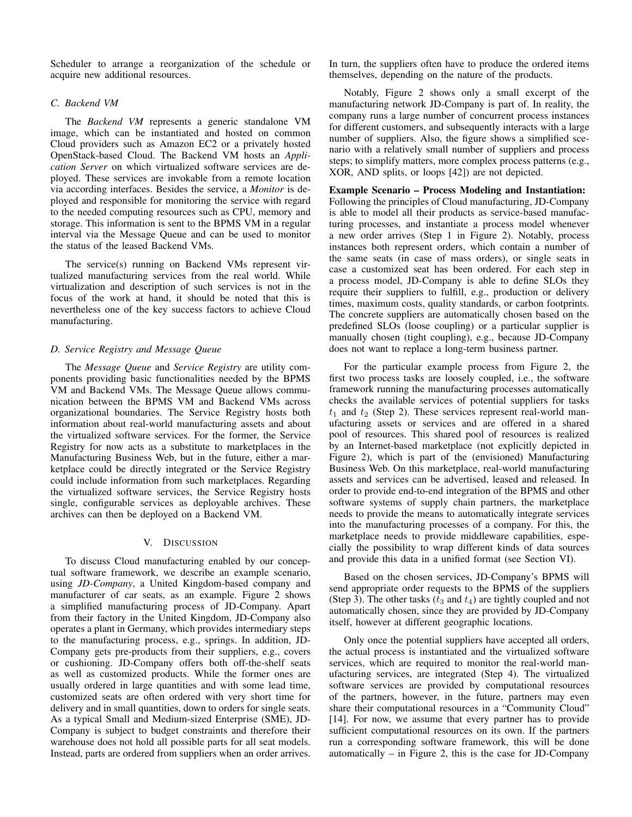Scheduler to arrange a reorganization of the schedule or acquire new additional resources.

## *C. Backend VM*

The *Backend VM* represents a generic standalone VM image, which can be instantiated and hosted on common Cloud providers such as Amazon EC2 or a privately hosted OpenStack-based Cloud. The Backend VM hosts an *Application Server* on which virtualized software services are deployed. These services are invokable from a remote location via according interfaces. Besides the service, a *Monitor* is deployed and responsible for monitoring the service with regard to the needed computing resources such as CPU, memory and storage. This information is sent to the BPMS VM in a regular interval via the Message Queue and can be used to monitor the status of the leased Backend VMs.

The service(s) running on Backend VMs represent virtualized manufacturing services from the real world. While virtualization and description of such services is not in the focus of the work at hand, it should be noted that this is nevertheless one of the key success factors to achieve Cloud manufacturing.

#### <span id="page-4-1"></span>*D. Service Registry and Message Queue*

The *Message Queue* and *Service Registry* are utility components providing basic functionalities needed by the BPMS VM and Backend VMs. The Message Queue allows communication between the BPMS VM and Backend VMs across organizational boundaries. The Service Registry hosts both information about real-world manufacturing assets and about the virtualized software services. For the former, the Service Registry for now acts as a substitute to marketplaces in the Manufacturing Business Web, but in the future, either a marketplace could be directly integrated or the Service Registry could include information from such marketplaces. Regarding the virtualized software services, the Service Registry hosts single, configurable services as deployable archives. These archives can then be deployed on a Backend VM.

#### V. DISCUSSION

<span id="page-4-0"></span>To discuss Cloud manufacturing enabled by our conceptual software framework, we describe an example scenario, using *JD-Company*, a United Kingdom-based company and manufacturer of car seats, as an example. Figure [2](#page-5-1) shows a simplified manufacturing process of JD-Company. Apart from their factory in the United Kingdom, JD-Company also operates a plant in Germany, which provides intermediary steps to the manufacturing process, e.g., springs. In addition, JD-Company gets pre-products from their suppliers, e.g., covers or cushioning. JD-Company offers both off-the-shelf seats as well as customized products. While the former ones are usually ordered in large quantities and with some lead time, customized seats are often ordered with very short time for delivery and in small quantities, down to orders for single seats. As a typical Small and Medium-sized Enterprise (SME), JD-Company is subject to budget constraints and therefore their warehouse does not hold all possible parts for all seat models. Instead, parts are ordered from suppliers when an order arrives. In turn, the suppliers often have to produce the ordered items themselves, depending on the nature of the products.

Notably, Figure [2](#page-5-1) shows only a small excerpt of the manufacturing network JD-Company is part of. In reality, the company runs a large number of concurrent process instances for different customers, and subsequently interacts with a large number of suppliers. Also, the figure shows a simplified scenario with a relatively small number of suppliers and process steps; to simplify matters, more complex process patterns (e.g., XOR, AND splits, or loops [\[42\]](#page-7-21)) are not depicted.

## Example Scenario – Process Modeling and Instantiation:

Following the principles of Cloud manufacturing, JD-Company is able to model all their products as service-based manufacturing processes, and instantiate a process model whenever a new order arrives (Step 1 in Figure [2\)](#page-5-1). Notably, process instances both represent orders, which contain a number of the same seats (in case of mass orders), or single seats in case a customized seat has been ordered. For each step in a process model, JD-Company is able to define SLOs they require their suppliers to fulfill, e.g., production or delivery times, maximum costs, quality standards, or carbon footprints. The concrete suppliers are automatically chosen based on the predefined SLOs (loose coupling) or a particular supplier is manually chosen (tight coupling), e.g., because JD-Company does not want to replace a long-term business partner.

For the particular example process from Figure [2,](#page-5-1) the first two process tasks are loosely coupled, i.e., the software framework running the manufacturing processes automatically checks the available services of potential suppliers for tasks  $t_1$  and  $t_2$  (Step 2). These services represent real-world manufacturing assets or services and are offered in a shared pool of resources. This shared pool of resources is realized by an Internet-based marketplace (not explicitly depicted in Figure [2\)](#page-5-1), which is part of the (envisioned) Manufacturing Business Web. On this marketplace, real-world manufacturing assets and services can be advertised, leased and released. In order to provide end-to-end integration of the BPMS and other software systems of supply chain partners, the marketplace needs to provide the means to automatically integrate services into the manufacturing processes of a company. For this, the marketplace needs to provide middleware capabilities, especially the possibility to wrap different kinds of data sources and provide this data in a unified format (see Section [VI\)](#page-5-0).

Based on the chosen services, JD-Company's BPMS will send appropriate order requests to the BPMS of the suppliers (Step 3). The other tasks ( $t_3$  and  $t_4$ ) are tightly coupled and not automatically chosen, since they are provided by JD-Company itself, however at different geographic locations.

Only once the potential suppliers have accepted all orders, the actual process is instantiated and the virtualized software services, which are required to monitor the real-world manufacturing services, are integrated (Step 4). The virtualized software services are provided by computational resources of the partners, however, in the future, partners may even share their computational resources in a "Community Cloud" [\[14\]](#page-6-12). For now, we assume that every partner has to provide sufficient computational resources on its own. If the partners run a corresponding software framework, this will be done automatically – in Figure [2,](#page-5-1) this is the case for JD-Company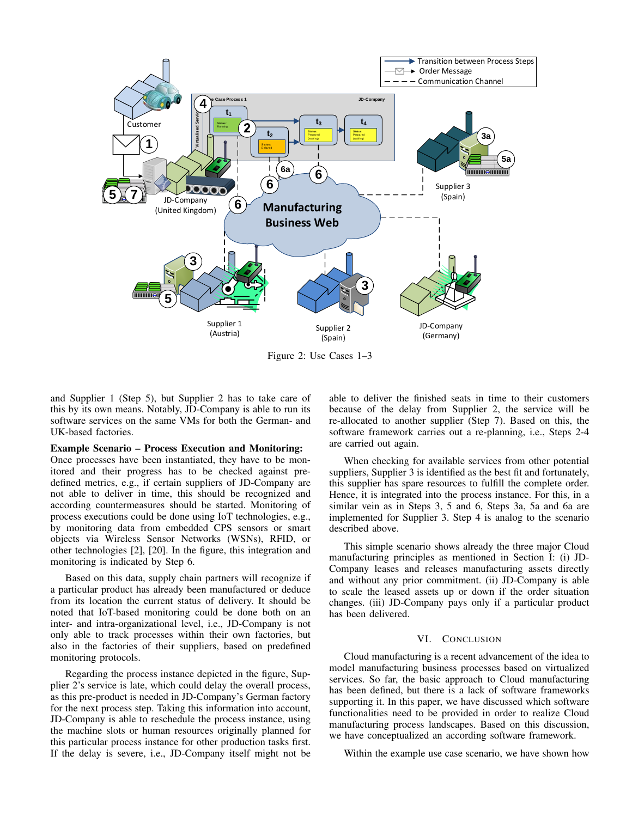<span id="page-5-1"></span>

Figure 2: Use Cases 1–3

and Supplier 1 (Step 5), but Supplier 2 has to take care of this by its own means. Notably, JD-Company is able to run its software services on the same VMs for both the German- and UK-based factories.

## Example Scenario – Process Execution and Monitoring:

Once processes have been instantiated, they have to be monitored and their progress has to be checked against predefined metrics, e.g., if certain suppliers of JD-Company are not able to deliver in time, this should be recognized and according countermeasures should be started. Monitoring of process executions could be done using IoT technologies, e.g., by monitoring data from embedded CPS sensors or smart objects via Wireless Sensor Networks (WSNs), RFID, or other technologies [\[2\]](#page-6-1), [\[20\]](#page-7-2). In the figure, this integration and monitoring is indicated by Step 6.

Based on this data, supply chain partners will recognize if a particular product has already been manufactured or deduce from its location the current status of delivery. It should be noted that IoT-based monitoring could be done both on an inter- and intra-organizational level, i.e., JD-Company is not only able to track processes within their own factories, but also in the factories of their suppliers, based on predefined monitoring protocols.

Regarding the process instance depicted in the figure, Supplier 2's service is late, which could delay the overall process, as this pre-product is needed in JD-Company's German factory for the next process step. Taking this information into account, JD-Company is able to reschedule the process instance, using the machine slots or human resources originally planned for this particular process instance for other production tasks first. If the delay is severe, i.e., JD-Company itself might not be able to deliver the finished seats in time to their customers because of the delay from Supplier 2, the service will be re-allocated to another supplier (Step 7). Based on this, the software framework carries out a re-planning, i.e., Steps 2-4 are carried out again.

When checking for available services from other potential suppliers, Supplier 3 is identified as the best fit and fortunately, this supplier has spare resources to fulfill the complete order. Hence, it is integrated into the process instance. For this, in a similar vein as in Steps 3, 5 and 6, Steps 3a, 5a and 6a are implemented for Supplier 3. Step 4 is analog to the scenario described above.

This simple scenario shows already the three major Cloud manufacturing principles as mentioned in Section [I:](#page-0-0) (i) JD-Company leases and releases manufacturing assets directly and without any prior commitment. (ii) JD-Company is able to scale the leased assets up or down if the order situation changes. (iii) JD-Company pays only if a particular product has been delivered.

#### VI. CONCLUSION

<span id="page-5-0"></span>Cloud manufacturing is a recent advancement of the idea to model manufacturing business processes based on virtualized services. So far, the basic approach to Cloud manufacturing has been defined, but there is a lack of software frameworks supporting it. In this paper, we have discussed which software functionalities need to be provided in order to realize Cloud manufacturing process landscapes. Based on this discussion, we have conceptualized an according software framework.

Within the example use case scenario, we have shown how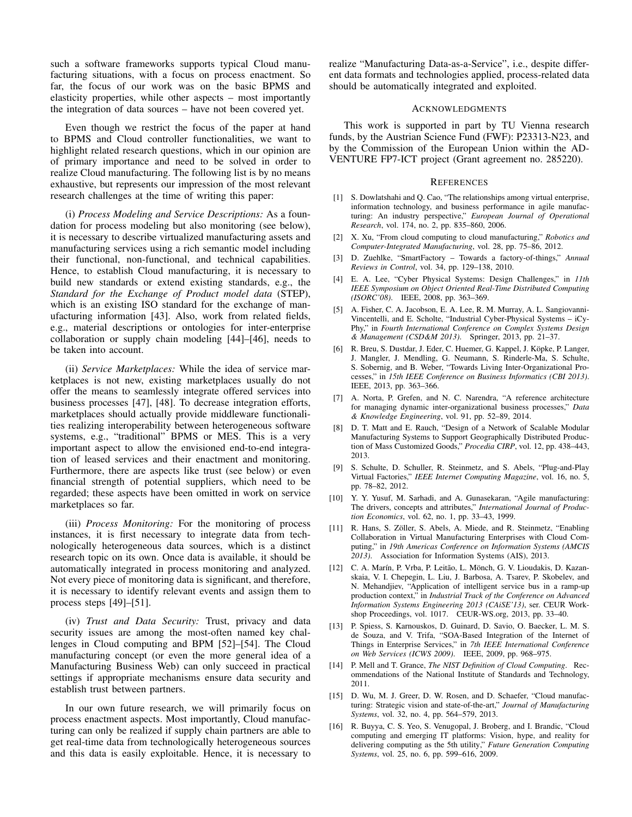such a software frameworks supports typical Cloud manufacturing situations, with a focus on process enactment. So far, the focus of our work was on the basic BPMS and elasticity properties, while other aspects – most importantly the integration of data sources – have not been covered yet.

Even though we restrict the focus of the paper at hand to BPMS and Cloud controller functionalities, we want to highlight related research questions, which in our opinion are of primary importance and need to be solved in order to realize Cloud manufacturing. The following list is by no means exhaustive, but represents our impression of the most relevant research challenges at the time of writing this paper:

(i) *Process Modeling and Service Descriptions:* As a foundation for process modeling but also monitoring (see below), it is necessary to describe virtualized manufacturing assets and manufacturing services using a rich semantic model including their functional, non-functional, and technical capabilities. Hence, to establish Cloud manufacturing, it is necessary to build new standards or extend existing standards, e.g., the *Standard for the Exchange of Product model data* (STEP), which is an existing ISO standard for the exchange of manufacturing information [\[43\]](#page-7-22). Also, work from related fields, e.g., material descriptions or ontologies for inter-enterprise collaboration or supply chain modeling [\[44\]](#page-7-23)–[\[46\]](#page-7-24), needs to be taken into account.

(ii) *Service Marketplaces:* While the idea of service marketplaces is not new, existing marketplaces usually do not offer the means to seamlessly integrate offered services into business processes [\[47\]](#page-7-25), [\[48\]](#page-7-26). To decrease integration efforts, marketplaces should actually provide middleware functionalities realizing interoperability between heterogeneous software systems, e.g., "traditional" BPMS or MES. This is a very important aspect to allow the envisioned end-to-end integration of leased services and their enactment and monitoring. Furthermore, there are aspects like trust (see below) or even financial strength of potential suppliers, which need to be regarded; these aspects have been omitted in work on service marketplaces so far.

(iii) *Process Monitoring:* For the monitoring of process instances, it is first necessary to integrate data from technologically heterogeneous data sources, which is a distinct research topic on its own. Once data is available, it should be automatically integrated in process monitoring and analyzed. Not every piece of monitoring data is significant, and therefore, it is necessary to identify relevant events and assign them to process steps [\[49\]](#page-7-27)–[\[51\]](#page-7-28).

(iv) *Trust and Data Security:* Trust, privacy and data security issues are among the most-often named key challenges in Cloud computing and BPM [\[52\]](#page-7-29)–[\[54\]](#page-7-30). The Cloud manufacturing concept (or even the more general idea of a Manufacturing Business Web) can only succeed in practical settings if appropriate mechanisms ensure data security and establish trust between partners.

In our own future research, we will primarily focus on process enactment aspects. Most importantly, Cloud manufacturing can only be realized if supply chain partners are able to get real-time data from technologically heterogeneous sources and this data is easily exploitable. Hence, it is necessary to

realize "Manufacturing Data-as-a-Service", i.e., despite different data formats and technologies applied, process-related data should be automatically integrated and exploited.

#### ACKNOWLEDGMENTS

This work is supported in part by TU Vienna research funds, by the Austrian Science Fund (FWF): P23313-N23, and by the Commission of the European Union within the AD-VENTURE FP7-ICT project (Grant agreement no. 285220).

#### **REFERENCES**

- <span id="page-6-0"></span>[1] S. Dowlatshahi and Q. Cao, "The relationships among virtual enterprise, information technology, and business performance in agile manufacturing: An industry perspective," *European Journal of Operational Research*, vol. 174, no. 2, pp. 835–860, 2006.
- <span id="page-6-1"></span>[2] X. Xu, "From cloud computing to cloud manufacturing," *Robotics and Computer-Integrated Manufacturing*, vol. 28, pp. 75–86, 2012.
- <span id="page-6-2"></span>[3] D. Zuehlke, "SmartFactory – Towards a factory-of-things," *Annual Reviews in Control*, vol. 34, pp. 129–138, 2010.
- <span id="page-6-3"></span>[4] E. A. Lee, "Cyber Physical Systems: Design Challenges," in *11th IEEE Symposium on Object Oriented Real-Time Distributed Computing (ISORC'08)*. IEEE, 2008, pp. 363–369.
- <span id="page-6-4"></span>[5] A. Fisher, C. A. Jacobson, E. A. Lee, R. M. Murray, A. L. Sangiovanni-Vincentelli, and E. Scholte, "Industrial Cyber-Physical Systems – iCy-Phy," in *Fourth International Conference on Complex Systems Design & Management (CSD&M 2013)*. Springer, 2013, pp. 21–37.
- <span id="page-6-5"></span>[6] R. Breu, S. Dustdar, J. Eder, C. Huemer, G. Kappel, J. Köpke, P. Langer, J. Mangler, J. Mendling, G. Neumann, S. Rinderle-Ma, S. Schulte, S. Sobernig, and B. Weber, "Towards Living Inter-Organizational Processes," in *15th IEEE Conference on Business Informatics (CBI 2013)*. IEEE, 2013, pp. 363–366.
- <span id="page-6-6"></span>[7] A. Norta, P. Grefen, and N. C. Narendra, "A reference architecture for managing dynamic inter-organizational business processes," *Data & Knowledge Engineering*, vol. 91, pp. 52–89, 2014.
- <span id="page-6-7"></span>[8] D. T. Matt and E. Rauch, "Design of a Network of Scalable Modular Manufacturing Systems to Support Geographically Distributed Production of Mass Customized Goods," *Procedia CIRP*, vol. 12, pp. 438–443, 2013.
- <span id="page-6-8"></span>[9] S. Schulte, D. Schuller, R. Steinmetz, and S. Abels, "Plug-and-Play Virtual Factories," *IEEE Internet Computing Magazine*, vol. 16, no. 5, pp. 78–82, 2012.
- <span id="page-6-9"></span>[10] Y. Y. Yusuf, M. Sarhadi, and A. Gunasekaran, "Agile manufacturing: The drivers, concepts and attributes," *International Journal of Production Economics*, vol. 62, no. 1, pp. 33–43, 1999.
- <span id="page-6-10"></span>[11] R. Hans, S. Zöller, S. Abels, A. Miede, and R. Steinmetz, "Enabling Collaboration in Virtual Manufacturing Enterprises with Cloud Computing," in *19th Americas Conference on Information Systems (AMCIS 2013)*. Association for Information Systems (AIS), 2013.
- [12] C. A. Marín, P. Vrba, P. Leitão, L. Mönch, G. V. Lioudakis, D. Kazanskaia, V. I. Chepegin, L. Liu, J. Barbosa, A. Tsarev, P. Skobelev, and N. Mehandjiev, "Application of intelligent service bus in a ramp-up production context," in *Industrial Track of the Conference on Advanced Information Systems Engineering 2013 (CAiSE'13)*, ser. CEUR Workshop Proceedings, vol. 1017. CEUR-WS.org, 2013, pp. 33–40.
- <span id="page-6-11"></span>[13] P. Spiess, S. Karnouskos, D. Guinard, D. Savio, O. Baecker, L. M. S. de Souza, and V. Trifa, "SOA-Based Integration of the Internet of Things in Enterprise Services," in *7th IEEE International Conference on Web Services (ICWS 2009)*. IEEE, 2009, pp. 968–975.
- <span id="page-6-12"></span>[14] P. Mell and T. Grance, *The NIST Definition of Cloud Computing*. Recommendations of the National Institute of Standards and Technology, 2011.
- <span id="page-6-13"></span>[15] D. Wu, M. J. Greer, D. W. Rosen, and D. Schaefer, "Cloud manufacturing: Strategic vision and state-of-the-art," *Journal of Manufacturing Systems*, vol. 32, no. 4, pp. 564–579, 2013.
- <span id="page-6-14"></span>[16] R. Buyya, C. S. Yeo, S. Venugopal, J. Broberg, and I. Brandic, "Cloud computing and emerging IT platforms: Vision, hype, and reality for delivering computing as the 5th utility," *Future Generation Computing Systems*, vol. 25, no. 6, pp. 599–616, 2009.